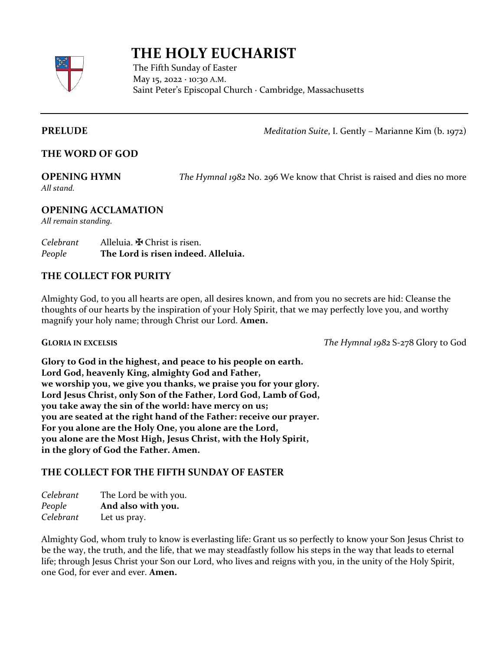# **THE HOLY EUCHARIST**



 The Fifth Sunday of Easter May 15, 2022 ∙ 10:30 A.M. Saint Peter's Episcopal Church ∙ Cambridge, Massachusetts

**PRELUDE** *Meditation Suite*, I. Gently – Marianne Kim (b. 1972)

# **THE WORD OF GOD**

**OPENING HYMN** *The Hymnal 1982* No. 296 We know that Christ is raised and dies no more

*All stand.*

# **OPENING ACCLAMATION**

*All remain standing.*

*Celebrant* Alleluia.  $\mathbf{\Psi}$  Christ is risen. *People* **The Lord is risen indeed. Alleluia.**

# **THE COLLECT FOR PURITY**

Almighty God, to you all hearts are open, all desires known, and from you no secrets are hid: Cleanse the thoughts of our hearts by the inspiration of your Holy Spirit, that we may perfectly love you, and worthy magnify your holy name; through Christ our Lord. **Amen.**

**GLORIA IN EXCELSIS** *The Hymnal 1982* S-278 Glory to God

**Glory to God in the highest, and peace to his people on earth. Lord God, heavenly King, almighty God and Father, we worship you, we give you thanks, we praise you for your glory. Lord Jesus Christ, only Son of the Father, Lord God, Lamb of God, you take away the sin of the world: have mercy on us; you are seated at the right hand of the Father: receive our prayer. For you alone are the Holy One, you alone are the Lord, you alone are the Most High, Jesus Christ, with the Holy Spirit, in the glory of God the Father. Amen.**

# **THE COLLECT FOR THE FIFTH SUNDAY OF EASTER**

| Celebrant | The Lord be with you. |
|-----------|-----------------------|
| People    | And also with you.    |
| Celebrant | Let us pray.          |

Almighty God, whom truly to know is everlasting life: Grant us so perfectly to know your Son Jesus Christ to be the way, the truth, and the life, that we may steadfastly follow his steps in the way that leads to eternal life; through Jesus Christ your Son our Lord, who lives and reigns with you, in the unity of the Holy Spirit, one God, for ever and ever. **Amen.**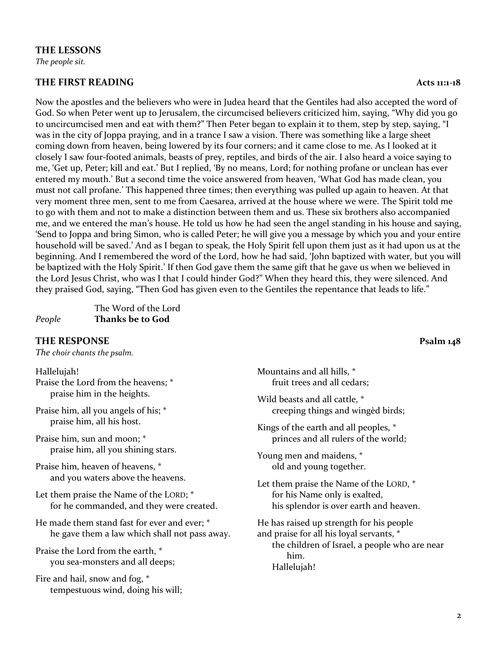### **THE LESSONS**

*The people sit.*

### **THE FIRST READING Acts 11:1-18**

Now the apostles and the believers who were in Judea heard that the Gentiles had also accepted the word of God. So when Peter went up to Jerusalem, the circumcised believers criticized him, saying, "Why did you go to uncircumcised men and eat with them?" Then Peter began to explain it to them, step by step, saying, "I was in the city of Joppa praying, and in a trance I saw a vision. There was something like a large sheet coming down from heaven, being lowered by its four corners; and it came close to me. As I looked at it closely I saw four-footed animals, beasts of prey, reptiles, and birds of the air. I also heard a voice saying to me, 'Get up, Peter; kill and eat.' But I replied, 'By no means, Lord; for nothing profane or unclean has ever entered my mouth.' But a second time the voice answered from heaven, 'What God has made clean, you must not call profane.' This happened three times; then everything was pulled up again to heaven. At that very moment three men, sent to me from Caesarea, arrived at the house where we were. The Spirit told me to go with them and not to make a distinction between them and us. These six brothers also accompanied me, and we entered the man's house. He told us how he had seen the angel standing in his house and saying, 'Send to Joppa and bring Simon, who is called Peter; he will give you a message by which you and your entire household will be saved.' And as I began to speak, the Holy Spirit fell upon them just as it had upon us at the beginning. And I remembered the word of the Lord, how he had said, 'John baptized with water, but you will be baptized with the Holy Spirit.' If then God gave them the same gift that he gave us when we believed in the Lord Jesus Christ, who was I that I could hinder God?" When they heard this, they were silenced. And they praised God, saying, "Then God has given even to the Gentiles the repentance that leads to life."

The Word of the Lord *People* **Thanks be to God**

### **THE RESPONSE Psalm 148**

*The choir chants the psalm.*

Hallelujah! Praise the Lord from the heavens; \* praise him in the heights.

- Praise him, all you angels of his; \* praise him, all his host.
- Praise him, sun and moon; \* praise him, all you shining stars.
- Praise him, heaven of heavens, \* and you waters above the heavens.
- Let them praise the Name of the LORD; \* for he commanded, and they were created.
- He made them stand fast for ever and ever; \* he gave them a law which shall not pass away.
- Praise the Lord from the earth, \* you sea-monsters and all deeps;

Fire and hail, snow and fog, \* tempestuous wind, doing his will;

Mountains and all hills, \* fruit trees and all cedars;

Wild beasts and all cattle, \* creeping things and wingèd birds;

Kings of the earth and all peoples, \* princes and all rulers of the world;

Young men and maidens, \* old and young together.

Let them praise the Name of the LORD, \* for his Name only is exalted, his splendor is over earth and heaven.

He has raised up strength for his people and praise for all his loyal servants, \* the children of Israel, a people who are near him. Hallelujah!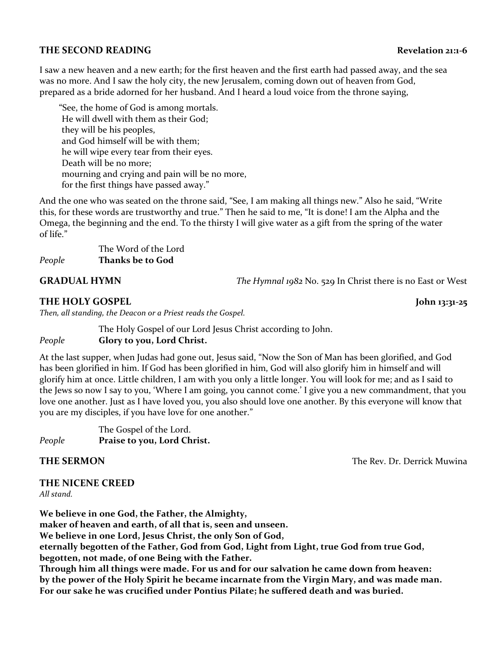### **THE SECOND READING Revelation 21:1-6**

I saw a new heaven and a new earth; for the first heaven and the first earth had passed away, and the sea was no more. And I saw the holy city, the new Jerusalem, coming down out of heaven from God, prepared as a bride adorned for her husband. And I heard a loud voice from the throne saying,

"See, the home of God is among mortals. He will dwell with them as their God; they will be his peoples, and God himself will be with them; he will wipe every tear from their eyes. Death will be no more; mourning and crying and pain will be no more, for the first things have passed away."

And the one who was seated on the throne said, "See, I am making all things new." Also he said, "Write this, for these words are trustworthy and true." Then he said to me, "It is done! I am the Alpha and the Omega, the beginning and the end. To the thirsty I will give water as a gift from the spring of the water of life."

The Word of the Lord *People* **Thanks be to God**

**GRADUAL HYMN** *The Hymnal 1982* No. 529 In Christ there is no East or West

### **THE HOLY GOSPEL John 13:31-25**

*Then, all standing, the Deacon or a Priest reads the Gospel.*

The Holy Gospel of our Lord Jesus Christ according to John. *People* **Glory to you, Lord Christ.**

At the last supper, when Judas had gone out, Jesus said, "Now the Son of Man has been glorified, and God has been glorified in him. If God has been glorified in him, God will also glorify him in himself and will glorify him at once. Little children, I am with you only a little longer. You will look for me; and as I said to the Jews so now I say to you, 'Where I am going, you cannot come.' I give you a new commandment, that you love one another. Just as I have loved you, you also should love one another. By this everyone will know that you are my disciples, if you have love for one another."

The Gospel of the Lord. *People* **Praise to you, Lord Christ.**

**THE SERMON** THE SERMON

**THE NICENE CREED** *All stand.*

**We believe in one God, the Father, the Almighty, maker of heaven and earth, of all that is, seen and unseen. We believe in one Lord, Jesus Christ, the only Son of God, eternally begotten of the Father, God from God, Light from Light, true God from true God, begotten, not made, of one Being with the Father. Through him all things were made. For us and for our salvation he came down from heaven: by the power of the Holy Spirit he became incarnate from the Virgin Mary, and was made man. For our sake he was crucified under Pontius Pilate; he suffered death and was buried.**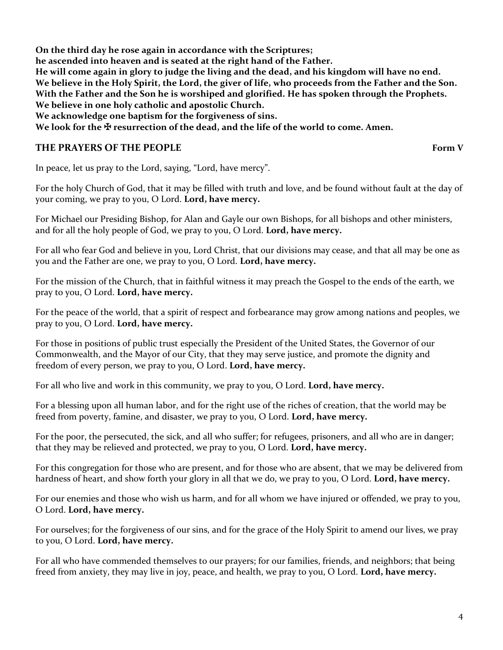**On the third day he rose again in accordance with the Scriptures; he ascended into heaven and is seated at the right hand of the Father. He will come again in glory to judge the living and the dead, and his kingdom will have no end. We believe in the Holy Spirit, the Lord, the giver of life, who proceeds from the Father and the Son. With the Father and the Son he is worshiped and glorified. He has spoken through the Prophets. We believe in one holy catholic and apostolic Church. We acknowledge one baptism for the forgiveness of sins.** We look for the  $\maltese$  resurrection of the dead, and the life of the world to come. Amen.

# **THE PRAYERS OF THE PEOPLE Form V**

In peace, let us pray to the Lord, saying, "Lord, have mercy".

For the holy Church of God, that it may be filled with truth and love, and be found without fault at the day of your coming, we pray to you, O Lord. **Lord, have mercy.**

For Michael our Presiding Bishop, for Alan and Gayle our own Bishops, for all bishops and other ministers, and for all the holy people of God, we pray to you, O Lord. **Lord, have mercy.**

For all who fear God and believe in you, Lord Christ, that our divisions may cease, and that all may be one as you and the Father are one, we pray to you, O Lord. **Lord, have mercy.**

For the mission of the Church, that in faithful witness it may preach the Gospel to the ends of the earth, we pray to you, O Lord. **Lord, have mercy.**

For the peace of the world, that a spirit of respect and forbearance may grow among nations and peoples, we pray to you, O Lord. **Lord, have mercy.**

For those in positions of public trust especially the President of the United States, the Governor of our Commonwealth, and the Mayor of our City, that they may serve justice, and promote the dignity and freedom of every person, we pray to you, O Lord. **Lord, have mercy.**

For all who live and work in this community, we pray to you, O Lord. **Lord, have mercy.**

For a blessing upon all human labor, and for the right use of the riches of creation, that the world may be freed from poverty, famine, and disaster, we pray to you, O Lord. **Lord, have mercy.**

For the poor, the persecuted, the sick, and all who suffer; for refugees, prisoners, and all who are in danger; that they may be relieved and protected, we pray to you, O Lord. **Lord, have mercy.**

For this congregation for those who are present, and for those who are absent, that we may be delivered from hardness of heart, and show forth your glory in all that we do, we pray to you, O Lord. **Lord, have mercy.**

For our enemies and those who wish us harm, and for all whom we have injured or offended, we pray to you, O Lord. **Lord, have mercy.**

For ourselves; for the forgiveness of our sins, and for the grace of the Holy Spirit to amend our lives, we pray to you, O Lord. **Lord, have mercy.**

For all who have commended themselves to our prayers; for our families, friends, and neighbors; that being freed from anxiety, they may live in joy, peace, and health, we pray to you, O Lord. **Lord, have mercy.**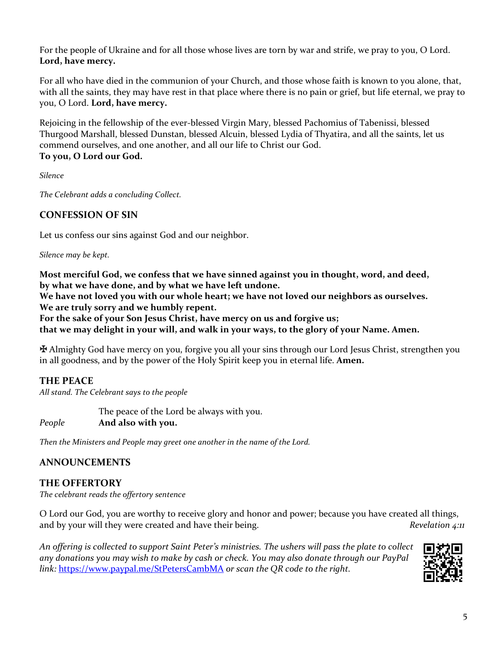For the people of Ukraine and for all those whose lives are torn by war and strife, we pray to you, O Lord. **Lord, have mercy.**

For all who have died in the communion of your Church, and those whose faith is known to you alone, that, with all the saints, they may have rest in that place where there is no pain or grief, but life eternal, we pray to you, O Lord. **Lord, have mercy.**

Rejoicing in the fellowship of the ever-blessed Virgin Mary, blessed Pachomius of Tabenissi, blessed Thurgood Marshall, blessed Dunstan, blessed Alcuin, blessed Lydia of Thyatira, and all the saints, let us commend ourselves, and one another, and all our life to Christ our God. **To you, O Lord our God.**

*Silence*

*The Celebrant adds a concluding Collect.*

# **CONFESSION OF SIN**

Let us confess our sins against God and our neighbor.

*Silence may be kept.*

**Most merciful God, we confess that we have sinned against you in thought, word, and deed, by what we have done, and by what we have left undone.**

**We have not loved you with our whole heart; we have not loved our neighbors as ourselves. We are truly sorry and we humbly repent.**

**For the sake of your Son Jesus Christ, have mercy on us and forgive us;** 

**that we may delight in your will, and walk in your ways, to the glory of your Name. Amen.**

Almighty God have mercy on you, forgive you all your sins through our Lord Jesus Christ, strengthen you in all goodness, and by the power of the Holy Spirit keep you in eternal life. **Amen.**

## **THE PEACE**

*All stand. The Celebrant says to the people*

The peace of the Lord be always with you. *People* **And also with you.**

*Then the Ministers and People may greet one another in the name of the Lord.*

## **ANNOUNCEMENTS**

# **THE OFFERTORY**

*The celebrant reads the offertory sentence*

O Lord our God, you are worthy to receive glory and honor and power; because you have created all things, and by your will they were created and have their being. *Revelation 4:11* 

*An offering is collected to support Saint Peter's ministries. The ushers will pass the plate to collect any donations you may wish to make by cash or check. You may also donate through our PayPal link:* <https://www.paypal.me/StPetersCambMA> *or scan the QR code to the right.* 

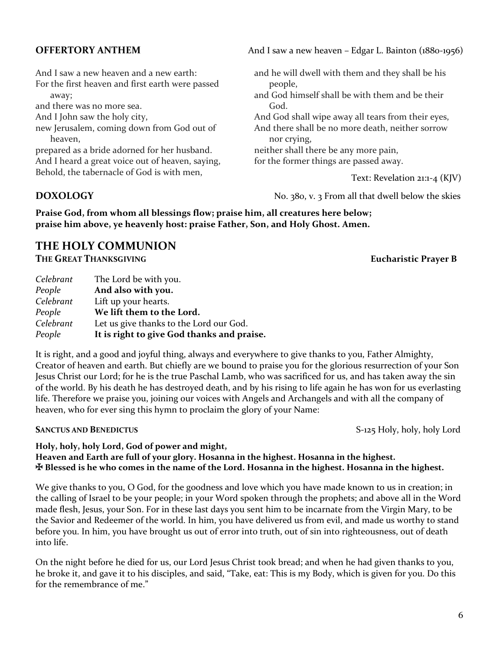And I saw a new heaven and a new earth:

For the first heaven and first earth were passed away;

and there was no more sea.

And I John saw the holy city,

new Jerusalem, coming down from God out of heaven,

prepared as a bride adorned for her husband. And I heard a great voice out of heaven, saying, Behold, the tabernacle of God is with men,

**OFFERTORY ANTHEM** And I saw a new heaven – Edgar L. Bainton (1880-1956)

and he will dwell with them and they shall be his people,

and God himself shall be with them and be their God.

And God shall wipe away all tears from their eyes, And there shall be no more death, neither sorrow nor crying,

neither shall there be any more pain, for the former things are passed away.

Text: Revelation 21:1-4 (KJV)

**DOXOLOGY** No. 380, v. 3 From all that dwell below the skies

**Praise God, from whom all blessings flow; praise him, all creatures here below; praise him above, ye heavenly host: praise Father, Son, and Holy Ghost. Amen.** 

# **THE HOLY COMMUNION**

**THE GREAT THANKSGIVING Eucharistic Prayer B**

| Celebrant | The Lord be with you.                      |
|-----------|--------------------------------------------|
| People    | And also with you.                         |
| Celebrant | Lift up your hearts.                       |
| People    | We lift them to the Lord.                  |
| Celebrant | Let us give thanks to the Lord our God.    |
| People    | It is right to give God thanks and praise. |

It is right, and a good and joyful thing, always and everywhere to give thanks to you, Father Almighty, Creator of heaven and earth. But chiefly are we bound to praise you for the glorious resurrection of your Son Jesus Christ our Lord; for he is the true Paschal Lamb, who was sacrificed for us, and has taken away the sin of the world. By his death he has destroyed death, and by his rising to life again he has won for us everlasting life. Therefore we praise you, joining our voices with Angels and Archangels and with all the company of heaven, who for ever sing this hymn to proclaim the glory of your Name:

**SANCTUS AND BENEDICTUS** S-125 Holy, holy, holy Lord

**Holy, holy, holy Lord, God of power and might, Heaven and Earth are full of your glory. Hosanna in the highest. Hosanna in the highest. Blessed is he who comes in the name of the Lord. Hosanna in the highest. Hosanna in the highest.**

We give thanks to you, O God, for the goodness and love which you have made known to us in creation; in the calling of Israel to be your people; in your Word spoken through the prophets; and above all in the Word made flesh, Jesus, your Son. For in these last days you sent him to be incarnate from the Virgin Mary, to be the Savior and Redeemer of the world. In him, you have delivered us from evil, and made us worthy to stand before you. In him, you have brought us out of error into truth, out of sin into righteousness, out of death into life.

On the night before he died for us, our Lord Jesus Christ took bread; and when he had given thanks to you, he broke it, and gave it to his disciples, and said, "Take, eat: This is my Body, which is given for you. Do this for the remembrance of me."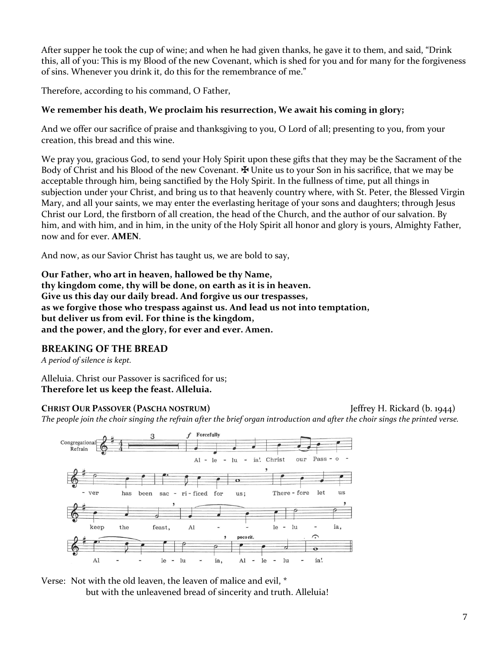After supper he took the cup of wine; and when he had given thanks, he gave it to them, and said, "Drink this, all of you: This is my Blood of the new Covenant, which is shed for you and for many for the forgiveness of sins. Whenever you drink it, do this for the remembrance of me."

Therefore, according to his command, O Father,

## **We remember his death, We proclaim his resurrection, We await his coming in glory;**

And we offer our sacrifice of praise and thanksgiving to you, O Lord of all; presenting to you, from your creation, this bread and this wine.

We pray you, gracious God, to send your Holy Spirit upon these gifts that they may be the Sacrament of the Body of Christ and his Blood of the new Covenant.  $\mathbb F$  Unite us to your Son in his sacrifice, that we may be acceptable through him, being sanctified by the Holy Spirit. In the fullness of time, put all things in subjection under your Christ, and bring us to that heavenly country where, with St. Peter, the Blessed Virgin Mary, and all your saints, we may enter the everlasting heritage of your sons and daughters; through Jesus Christ our Lord, the firstborn of all creation, the head of the Church, and the author of our salvation. By him, and with him, and in him, in the unity of the Holy Spirit all honor and glory is yours, Almighty Father, now and for ever. **AMEN**.

And now, as our Savior Christ has taught us, we are bold to say,

**Our Father, who art in heaven, hallowed be thy Name, thy kingdom come, thy will be done, on earth as it is in heaven. Give us this day our daily bread. And forgive us our trespasses, as we forgive those who trespass against us. And lead us not into temptation, but deliver us from evil. For thine is the kingdom, and the power, and the glory, for ever and ever. Amen.**

## **BREAKING OF THE BREAD**

*A period of silence is kept.*

Alleluia. Christ our Passover is sacrificed for us; **Therefore let us keep the feast. Alleluia.**

### **CHRIST OUR PASSOVER (PASCHA NOSTRUM)** Jeffrey H. Rickard (b. 1944)

*The people join the choir singing the refrain after the brief organ introduction and after the choir sings the printed verse.*



Verse: Not with the old leaven, the leaven of malice and evil, \* but with the unleavened bread of sincerity and truth. Alleluia!